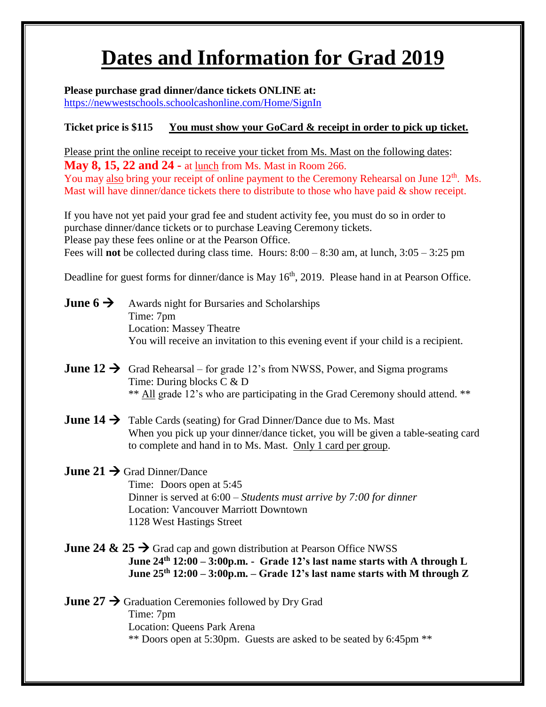# **Dates and Information for Grad 2019**

**Please purchase grad dinner/dance tickets ONLINE at:**

<https://newwestschools.schoolcashonline.com/Home/SignIn>

## **Ticket price is \$115 You must show your GoCard & receipt in order to pick up ticket.**

Please print the online receipt to receive your ticket from Ms. Mast on the following dates: **May 8, 15, 22 and 24 -** at lunch from Ms. Mast in Room 266. You may also bring your receipt of online payment to the Ceremony Rehearsal on June 12<sup>th</sup>. Ms. Mast will have dinner/dance tickets there to distribute to those who have paid & show receipt.

If you have not yet paid your grad fee and student activity fee, you must do so in order to purchase dinner/dance tickets or to purchase Leaving Ceremony tickets. Please pay these fees online or at the Pearson Office. Fees will **not** be collected during class time. Hours: 8:00 – 8:30 am, at lunch, 3:05 – 3:25 pm

Deadline for guest forms for dinner/dance is May 16<sup>th</sup>, 2019. Please hand in at Pearson Office.

- **June 6**  $\rightarrow$  Awards night for Bursaries and Scholarships Time: 7pm Location: Massey Theatre You will receive an invitation to this evening event if your child is a recipient.
- **June 12**  $\rightarrow$  Grad Rehearsal for grade 12's from NWSS, Power, and Sigma programs Time: During blocks C & D \*\* All grade 12's who are participating in the Grad Ceremony should attend. \*\*
- **June 14**  $\rightarrow$  Table Cards (seating) for Grad Dinner/Dance due to Ms. Mast When you pick up your dinner/dance ticket, you will be given a table-seating card to complete and hand in to Ms. Mast. Only 1 card per group.

# **June 21**  $\rightarrow$  **Grad Dinner/Dance**

Time: Doors open at 5:45 Dinner is served at 6:00 – *Students must arrive by 7:00 for dinner* Location: Vancouver Marriott Downtown 1128 West Hastings Street

**June 24 & 25**  $\rightarrow$  Grad cap and gown distribution at Pearson Office NWSS **June 24th 12:00 – 3:00p.m. - Grade 12's last name starts with A through L June 25th 12:00 – 3:00p.m. – Grade 12's last name starts with M through Z**

June 27  $\rightarrow$  Graduation Ceremonies followed by Dry Grad Time: 7pm Location: Queens Park Arena \*\* Doors open at 5:30pm. Guests are asked to be seated by 6:45pm \*\*